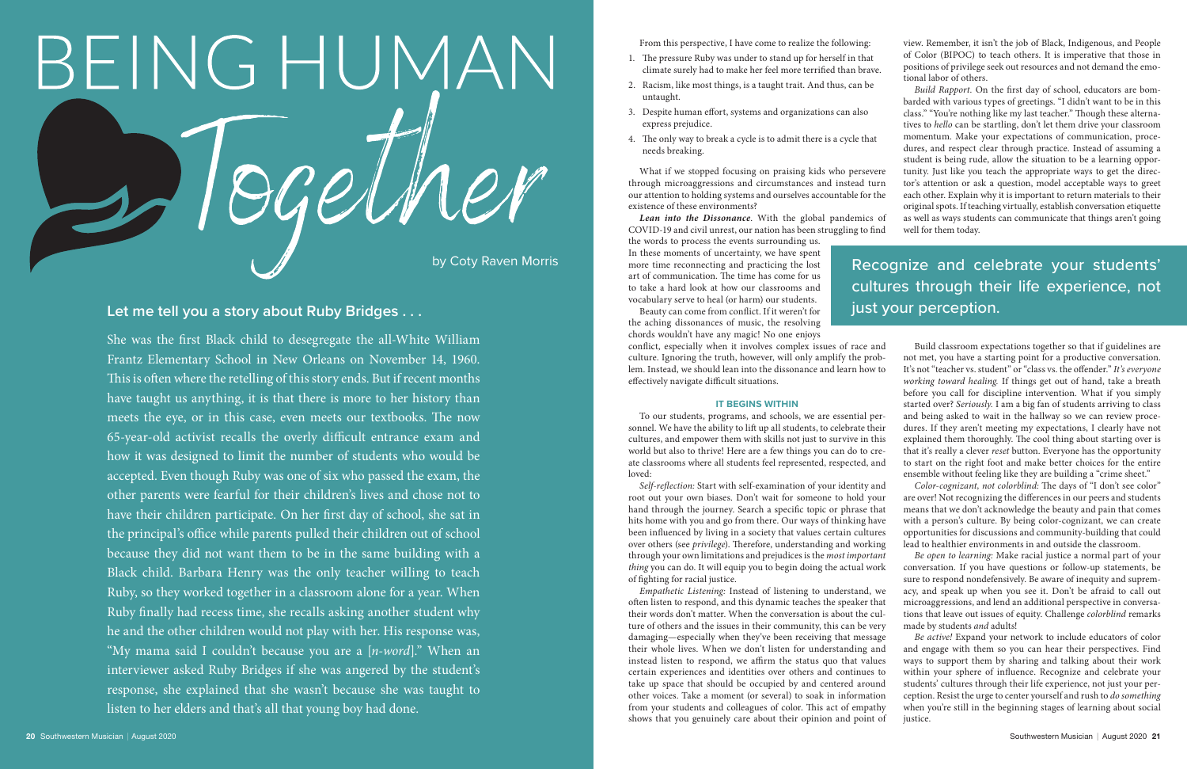From this perspective, I have come to realize the following:

- 1. The pressure Ruby was under to stand up for herself in that climate surely had to make her feel more terrified than brave.
- 2. Racism, like most things, is a taught trait. And thus, can be untaught.
- 3. Despite human effort, systems and organizations can also express prejudice.
- 4. The only way to break a cycle is to admit there is a cycle that needs breaking.

What if we stopped focusing on praising kids who persevere through microaggressions and circumstances and instead turn our attention to holding systems and ourselves accountable for the existence of these environments?

*Lean into the Dissonance*. With the global pandemics of COVID-19 and civil unrest, our nation has been struggling to find

the words to process the events surrounding us. In these moments of uncertainty, we have spent more time reconnecting and practicing the lost art of communication. The time has come for us to take a hard look at how our classrooms and vocabulary serve to heal (or harm) our students.



Beauty can come from conflict. If it weren't for the aching dissonances of music, the resolving chords wouldn't have any magic! No one enjoys

conflict, especially when it involves complex issues of race and culture. Ignoring the truth, however, will only amplify the problem. Instead, we should lean into the dissonance and learn how to effectively navigate difficult situations.

#### **IT BEGINS WITHIN**

To our students, programs, and schools, we are essential personnel. We have the ability to lift up all students, to celebrate their cultures, and empower them with skills not just to survive in this world but also to thrive! Here are a few things you can do to create classrooms where all students feel represented, respected, and loved:

view. Remember, it isn't the job of Black, Indigenous, and People of Color (BIPOC) to teach others. It is imperative that those in positions of privilege seek out resources and not demand the emotional labor of others.

*Build Rapport.* On the first day of school, educators are bombarded with various types of greetings. "I didn't want to be in this class." "You're nothing like my last teacher." Though these alternatives to *hello* can be startling, don't let them drive your classroom momentum. Make your expectations of communication, procedures, and respect clear through practice. Instead of assuming a student is being rude, allow the situation to be a learning opportunity. Just like you teach the appropriate ways to get the director's attention or ask a question, model acceptable ways to greet each other. Explain why it is important to return materials to their original spots. If teaching virtually, establish conversation etiquette as well as ways students can communicate that things aren't going well for them today.

*Self-reflection:* Start with self-examination of your identity and root out your own biases. Don't wait for someone to hold your hand through the journey. Search a specific topic or phrase that hits home with you and go from there. Our ways of thinking have been influenced by living in a society that values certain cultures over others (see *privilege*). Therefore, understanding and working through your own limitations and prejudices is the *most important thing* you can do. It will equip you to begin doing the actual work of fighting for racial justice. *Empathetic Listening:* Instead of listening to understand, we often listen to respond, and this dynamic teaches the speaker that their words don't matter. When the conversation is about the culture of others and the issues in their community, this can be very damaging—especially when they've been receiving that message their whole lives. When we don't listen for understanding and *Color-cognizant, not colorblind:* The days of "I don't see color" are over! Not recognizing the differences in our peers and students means that we don't acknowledge the beauty and pain that comes with a person's culture. By being color-cognizant, we can create opportunities for discussions and community-building that could lead to healthier environments in and outside the classroom. *Be open to learning:* Make racial justice a normal part of your conversation. If you have questions or follow-up statements, be sure to respond nondefensively. Be aware of inequity and supremacy, and speak up when you see it. Don't be afraid to call out microaggressions, and lend an additional perspective in conversations that leave out issues of equity. Challenge *colorblind* remarks made by students *and* adults! *Be active!* Expand your network to include educators of color and engage with them so you can hear their perspectives. Find

instead listen to respond, we affirm the status quo that values certain experiences and identities over others and continues to take up space that should be occupied by and centered around other voices. Take a moment (or several) to soak in information from your students and colleagues of color. This act of empathy shows that you genuinely care about their opinion and point of ways to support them by sharing and talking about their work within your sphere of influence. Recognize and celebrate your students' cultures through their life experience, not just your perception. Resist the urge to center yourself and rush to *do something*  when you're still in the beginning stages of learning about social justice.

Build classroom expectations together so that if guidelines are not met, you have a starting point for a productive conversation. It's not "teacher vs. student" or "class vs. the offender." *It's everyone working toward healing.* If things get out of hand, take a breath before you call for discipline intervention. What if you simply started over? *Seriously.* I am a big fan of students arriving to class and being asked to wait in the hallway so we can review procedures. If they aren't meeting my expectations, I clearly have not explained them thoroughly. The cool thing about starting over is that it's really a clever *reset* button. Everyone has the opportunity to start on the right foot and make better choices for the entire ensemble without feeling like they are building a "crime sheet."

She was the first Black child to desegregate the all-White William Frantz Elementary School in New Orleans on November 14, 1960. This is often where the retelling of this story ends. But if recent months have taught us anything, it is that there is more to her history than meets the eye, or in this case, even meets our textbooks. The now 65-year-old activist recalls the overly difficult entrance exam and how it was designed to limit the number of students who would be accepted. Even though Ruby was one of six who passed the exam, the other parents were fearful for their children's lives and chose not to have their children participate. On her first day of school, she sat in the principal's office while parents pulled their children out of school because they did not want them to be in the same building with a Black child. Barbara Henry was the only teacher willing to teach Ruby, so they worked together in a classroom alone for a year. When Ruby finally had recess time, she recalls asking another student why he and the other children would not play with her. His response was, "My mama said I couldn't because you are a [*n-word*]." When an interviewer asked Ruby Bridges if she was angered by the student's response, she explained that she wasn't because she was taught to listen to her elders and that's all that young boy had done.

## **Let me tell you a story about Ruby Bridges . . .**

# Recognize and celebrate your students' cultures through their life experience, not just your perception.